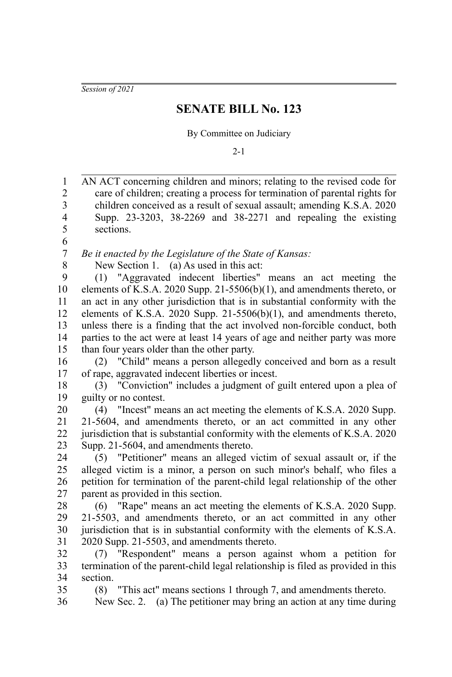*Session of 2021*

## **SENATE BILL No. 123**

By Committee on Judiciary

2-1

| $\mathbf{1}$            | AN ACT concerning children and minors; relating to the revised code for                                                                 |
|-------------------------|-----------------------------------------------------------------------------------------------------------------------------------------|
| $\overline{c}$          | care of children; creating a process for termination of parental rights for                                                             |
| 3                       | children conceived as a result of sexual assault; amending K.S.A. 2020                                                                  |
| $\overline{\mathbf{4}}$ | Supp. 23-3203, 38-2269 and 38-2271 and repealing the existing                                                                           |
| 5                       | sections.                                                                                                                               |
| 6                       |                                                                                                                                         |
| $\boldsymbol{7}$        | Be it enacted by the Legislature of the State of Kansas:                                                                                |
| 8                       | New Section 1. (a) As used in this act:                                                                                                 |
| 9                       | (1) "Aggravated indecent liberties" means an act meeting the                                                                            |
| 10                      | elements of K.S.A. 2020 Supp. 21-5506(b)(1), and amendments thereto, or                                                                 |
| 11                      | an act in any other jurisdiction that is in substantial conformity with the                                                             |
| 12                      | elements of K.S.A. 2020 Supp. $21-5506(b)(1)$ , and amendments thereto,                                                                 |
| 13                      | unless there is a finding that the act involved non-forcible conduct, both                                                              |
| 14                      | parties to the act were at least 14 years of age and neither party was more                                                             |
| 15                      | than four years older than the other party.                                                                                             |
| 16                      | (2) "Child" means a person allegedly conceived and born as a result                                                                     |
| 17                      | of rape, aggravated indecent liberties or incest.                                                                                       |
| 18                      | (3) "Conviction" includes a judgment of guilt entered upon a plea of                                                                    |
| 19                      | guilty or no contest.                                                                                                                   |
| 20                      | (4) "Incest" means an act meeting the elements of K.S.A. 2020 Supp.                                                                     |
| 21                      | 21-5604, and amendments thereto, or an act committed in any other                                                                       |
| 22                      | jurisdiction that is substantial conformity with the elements of K.S.A. 2020                                                            |
| 23                      | Supp. 21-5604, and amendments thereto.                                                                                                  |
| 24                      | (5) "Petitioner" means an alleged victim of sexual assault or, if the                                                                   |
| 25                      | alleged victim is a minor, a person on such minor's behalf, who files a                                                                 |
| 26                      | petition for termination of the parent-child legal relationship of the other                                                            |
| 27                      | parent as provided in this section.                                                                                                     |
| 28                      | (6) "Rape" means an act meeting the elements of K.S.A. 2020 Supp.                                                                       |
| 29                      | 21-5503, and amendments thereto, or an act committed in any other                                                                       |
| 30                      | jurisdiction that is in substantial conformity with the elements of K.S.A.                                                              |
| 31                      | 2020 Supp. 21-5503, and amendments thereto.                                                                                             |
| 32                      | (7) "Respondent" means a person against whom a petition for                                                                             |
| 33                      | termination of the parent-child legal relationship is filed as provided in this                                                         |
| 34<br>35                | section.<br>(8)                                                                                                                         |
| 36                      | "This act" means sections 1 through 7, and amendments thereto.<br>New Sec. 2. (a) The petitioner may bring an action at any time during |
|                         |                                                                                                                                         |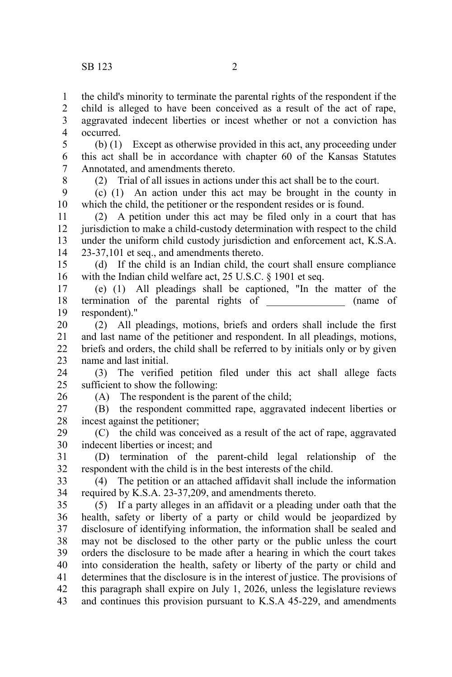the child's minority to terminate the parental rights of the respondent if the 1

child is alleged to have been conceived as a result of the act of rape, aggravated indecent liberties or incest whether or not a conviction has occurred. 2 3 4

(b) (1) Except as otherwise provided in this act, any proceeding under this act shall be in accordance with chapter 60 of the Kansas Statutes Annotated, and amendments thereto. 5 6 7

8

(2) Trial of all issues in actions under this act shall be to the court.

(c) (1) An action under this act may be brought in the county in which the child, the petitioner or the respondent resides or is found. 9 10

(2) A petition under this act may be filed only in a court that has jurisdiction to make a child-custody determination with respect to the child under the uniform child custody jurisdiction and enforcement act, K.S.A. 23-37,101 et seq., and amendments thereto. 11 12 13 14

(d) If the child is an Indian child, the court shall ensure compliance with the Indian child welfare act, 25 U.S.C. § 1901 et seq. 15 16

(e) (1) All pleadings shall be captioned, "In the matter of the termination of the parental rights of  $\qquad \qquad$  (name of respondent)." 17 18 19

(2) All pleadings, motions, briefs and orders shall include the first and last name of the petitioner and respondent. In all pleadings, motions, briefs and orders, the child shall be referred to by initials only or by given name and last initial. 20 21 22 23

(3) The verified petition filed under this act shall allege facts sufficient to show the following: 24 25

26

(A) The respondent is the parent of the child;

(B) the respondent committed rape, aggravated indecent liberties or incest against the petitioner; 27 28

(C) the child was conceived as a result of the act of rape, aggravated indecent liberties or incest; and 29 30

(D) termination of the parent-child legal relationship of the respondent with the child is in the best interests of the child. 31 32

(4) The petition or an attached affidavit shall include the information required by K.S.A. 23-37,209, and amendments thereto. 33 34

(5) If a party alleges in an affidavit or a pleading under oath that the health, safety or liberty of a party or child would be jeopardized by disclosure of identifying information, the information shall be sealed and may not be disclosed to the other party or the public unless the court orders the disclosure to be made after a hearing in which the court takes into consideration the health, safety or liberty of the party or child and determines that the disclosure is in the interest of justice. The provisions of this paragraph shall expire on July 1, 2026, unless the legislature reviews and continues this provision pursuant to K.S.A 45-229, and amendments 35 36 37 38 39 40 41 42 43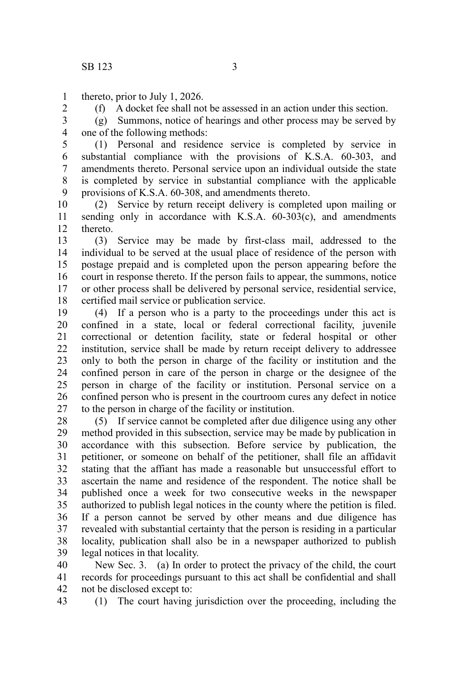thereto, prior to July 1, 2026. 1

2

(f) A docket fee shall not be assessed in an action under this section.

(g) Summons, notice of hearings and other process may be served by one of the following methods: 3 4

(1) Personal and residence service is completed by service in substantial compliance with the provisions of K.S.A. 60-303, and amendments thereto. Personal service upon an individual outside the state is completed by service in substantial compliance with the applicable provisions of K.S.A. 60-308, and amendments thereto. 5 6 7 8 9

(2) Service by return receipt delivery is completed upon mailing or sending only in accordance with K.S.A. 60-303(c), and amendments thereto. 10 11 12

(3) Service may be made by first-class mail, addressed to the individual to be served at the usual place of residence of the person with postage prepaid and is completed upon the person appearing before the court in response thereto. If the person fails to appear, the summons, notice or other process shall be delivered by personal service, residential service, certified mail service or publication service. 13 14 15 16 17 18

(4) If a person who is a party to the proceedings under this act is confined in a state, local or federal correctional facility, juvenile correctional or detention facility, state or federal hospital or other institution, service shall be made by return receipt delivery to addressee only to both the person in charge of the facility or institution and the confined person in care of the person in charge or the designee of the person in charge of the facility or institution. Personal service on a confined person who is present in the courtroom cures any defect in notice to the person in charge of the facility or institution. 19 20 21 22 23 24 25 26 27

(5) If service cannot be completed after due diligence using any other method provided in this subsection, service may be made by publication in accordance with this subsection. Before service by publication, the petitioner, or someone on behalf of the petitioner, shall file an affidavit stating that the affiant has made a reasonable but unsuccessful effort to ascertain the name and residence of the respondent. The notice shall be published once a week for two consecutive weeks in the newspaper authorized to publish legal notices in the county where the petition is filed. If a person cannot be served by other means and due diligence has revealed with substantial certainty that the person is residing in a particular locality, publication shall also be in a newspaper authorized to publish legal notices in that locality. 28 29 30 31 32 33 34 35 36 37 38 39

New Sec. 3. (a) In order to protect the privacy of the child, the court records for proceedings pursuant to this act shall be confidential and shall not be disclosed except to: 40 41 42

(1) The court having jurisdiction over the proceeding, including the 43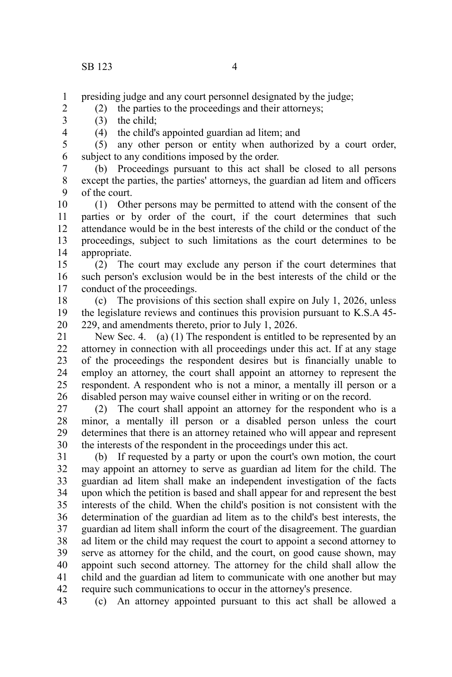presiding judge and any court personnel designated by the judge; 1

(2) the parties to the proceedings and their attorneys;

- (3) the child;
- 3 4

2

(4) the child's appointed guardian ad litem; and

(5) any other person or entity when authorized by a court order, subject to any conditions imposed by the order. 5 6

(b) Proceedings pursuant to this act shall be closed to all persons except the parties, the parties' attorneys, the guardian ad litem and officers of the court. 7 8 9

(1) Other persons may be permitted to attend with the consent of the parties or by order of the court, if the court determines that such attendance would be in the best interests of the child or the conduct of the proceedings, subject to such limitations as the court determines to be appropriate. 10 11 12 13 14

(2) The court may exclude any person if the court determines that such person's exclusion would be in the best interests of the child or the conduct of the proceedings. 15 16 17

(c) The provisions of this section shall expire on July 1, 2026, unless the legislature reviews and continues this provision pursuant to K.S.A 45- 229, and amendments thereto, prior to July 1, 2026. 18 19 20

New Sec. 4. (a) (1) The respondent is entitled to be represented by an attorney in connection with all proceedings under this act. If at any stage of the proceedings the respondent desires but is financially unable to employ an attorney, the court shall appoint an attorney to represent the respondent. A respondent who is not a minor, a mentally ill person or a disabled person may waive counsel either in writing or on the record. 21 22 23 24 25 26

(2) The court shall appoint an attorney for the respondent who is a minor, a mentally ill person or a disabled person unless the court determines that there is an attorney retained who will appear and represent the interests of the respondent in the proceedings under this act. 27 28 29 30

(b) If requested by a party or upon the court's own motion, the court may appoint an attorney to serve as guardian ad litem for the child. The guardian ad litem shall make an independent investigation of the facts upon which the petition is based and shall appear for and represent the best interests of the child. When the child's position is not consistent with the determination of the guardian ad litem as to the child's best interests, the guardian ad litem shall inform the court of the disagreement. The guardian ad litem or the child may request the court to appoint a second attorney to serve as attorney for the child, and the court, on good cause shown, may appoint such second attorney. The attorney for the child shall allow the child and the guardian ad litem to communicate with one another but may require such communications to occur in the attorney's presence. 31 32 33 34 35 36 37 38 39 40 41 42

(c) An attorney appointed pursuant to this act shall be allowed a 43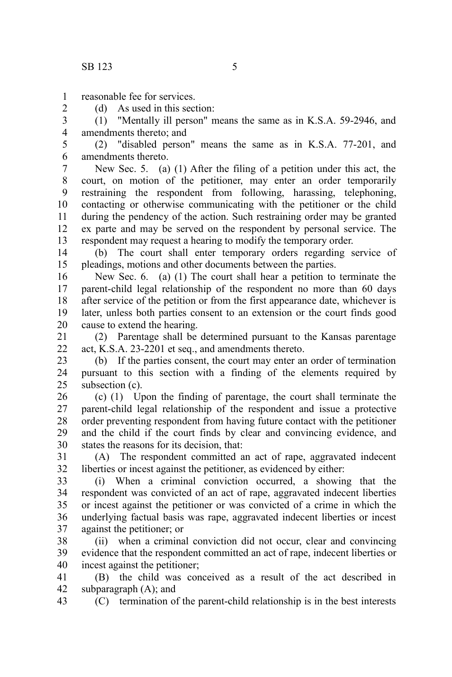2

reasonable fee for services. 1

(d) As used in this section:

(1) "Mentally ill person" means the same as in K.S.A. 59-2946, and amendments thereto; and 3 4

(2) "disabled person" means the same as in K.S.A. 77-201, and amendments thereto. 5 6

New Sec. 5. (a) (1) After the filing of a petition under this act, the court, on motion of the petitioner, may enter an order temporarily restraining the respondent from following, harassing, telephoning, contacting or otherwise communicating with the petitioner or the child during the pendency of the action. Such restraining order may be granted ex parte and may be served on the respondent by personal service. The respondent may request a hearing to modify the temporary order. 7 8 9 10 11 12 13

(b) The court shall enter temporary orders regarding service of pleadings, motions and other documents between the parties. 14 15

New Sec. 6. (a) (1) The court shall hear a petition to terminate the parent-child legal relationship of the respondent no more than 60 days after service of the petition or from the first appearance date, whichever is later, unless both parties consent to an extension or the court finds good cause to extend the hearing. 16 17 18 19 20

(2) Parentage shall be determined pursuant to the Kansas parentage act, K.S.A. 23-2201 et seq., and amendments thereto. 21  $22$ 

(b) If the parties consent, the court may enter an order of termination pursuant to this section with a finding of the elements required by subsection (c). 23 24  $25$ 

(c) (1) Upon the finding of parentage, the court shall terminate the parent-child legal relationship of the respondent and issue a protective order preventing respondent from having future contact with the petitioner and the child if the court finds by clear and convincing evidence, and states the reasons for its decision, that: 26 27 28 29 30

(A) The respondent committed an act of rape, aggravated indecent liberties or incest against the petitioner, as evidenced by either: 31 32

(i) When a criminal conviction occurred, a showing that the respondent was convicted of an act of rape, aggravated indecent liberties or incest against the petitioner or was convicted of a crime in which the underlying factual basis was rape, aggravated indecent liberties or incest against the petitioner; or 33 34 35 36 37

(ii) when a criminal conviction did not occur, clear and convincing evidence that the respondent committed an act of rape, indecent liberties or incest against the petitioner; 38 39 40

(B) the child was conceived as a result of the act described in subparagraph (A); and 41 42

(C) termination of the parent-child relationship is in the best interests 43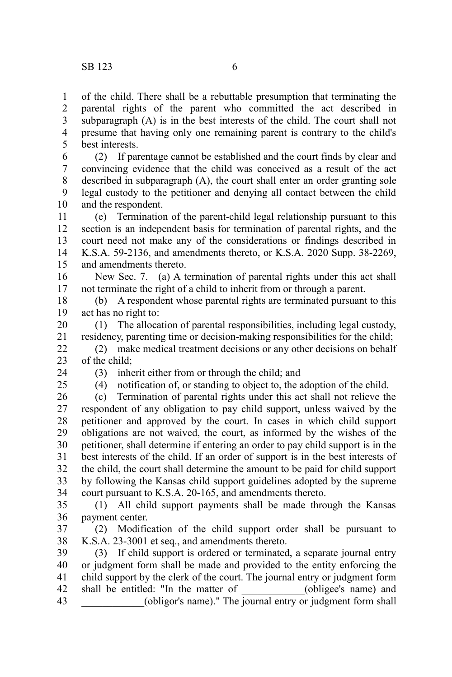of the child. There shall be a rebuttable presumption that terminating the parental rights of the parent who committed the act described in subparagraph (A) is in the best interests of the child. The court shall not presume that having only one remaining parent is contrary to the child's best interests. 1 2 3 4 5

(2) If parentage cannot be established and the court finds by clear and convincing evidence that the child was conceived as a result of the act described in subparagraph (A), the court shall enter an order granting sole legal custody to the petitioner and denying all contact between the child and the respondent. 6 7 8 9 10

(e) Termination of the parent-child legal relationship pursuant to this section is an independent basis for termination of parental rights, and the court need not make any of the considerations or findings described in K.S.A. 59-2136, and amendments thereto, or K.S.A. 2020 Supp. 38-2269, and amendments thereto. 11 12 13 14 15

New Sec. 7. (a) A termination of parental rights under this act shall not terminate the right of a child to inherit from or through a parent. 16 17

(b) A respondent whose parental rights are terminated pursuant to this act has no right to: 18 19

(1) The allocation of parental responsibilities, including legal custody, residency, parenting time or decision-making responsibilities for the child; 20 21

(2) make medical treatment decisions or any other decisions on behalf of the child; 22 23

24 25 (3) inherit either from or through the child; and

(4) notification of, or standing to object to, the adoption of the child.

(c) Termination of parental rights under this act shall not relieve the respondent of any obligation to pay child support, unless waived by the petitioner and approved by the court. In cases in which child support obligations are not waived, the court, as informed by the wishes of the petitioner, shall determine if entering an order to pay child support is in the best interests of the child. If an order of support is in the best interests of the child, the court shall determine the amount to be paid for child support by following the Kansas child support guidelines adopted by the supreme court pursuant to K.S.A. 20-165, and amendments thereto. 26 27 28 29 30 31 32 33 34

(1) All child support payments shall be made through the Kansas payment center. 35 36

(2) Modification of the child support order shall be pursuant to K.S.A. 23-3001 et seq., and amendments thereto. 37 38

(3) If child support is ordered or terminated, a separate journal entry or judgment form shall be made and provided to the entity enforcing the child support by the clerk of the court. The journal entry or judgment form shall be entitled: "In the matter of (obligee's name) and \_\_\_\_\_\_\_\_\_\_\_\_(obligor's name)." The journal entry or judgment form shall 39 40 41 42 43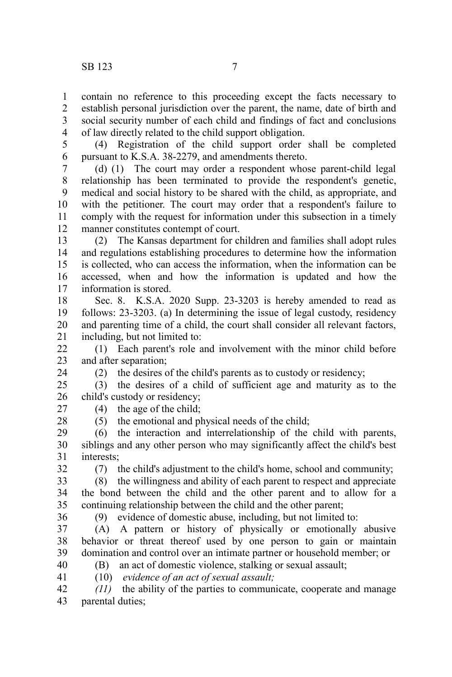contain no reference to this proceeding except the facts necessary to establish personal jurisdiction over the parent, the name, date of birth and social security number of each child and findings of fact and conclusions of law directly related to the child support obligation. 1 2 3 4

5

(4) Registration of the child support order shall be completed pursuant to K.S.A. 38-2279, and amendments thereto. 6

(d) (1) The court may order a respondent whose parent-child legal relationship has been terminated to provide the respondent's genetic, medical and social history to be shared with the child, as appropriate, and with the petitioner. The court may order that a respondent's failure to comply with the request for information under this subsection in a timely manner constitutes contempt of court. 7 8 9 10 11 12

(2) The Kansas department for children and families shall adopt rules and regulations establishing procedures to determine how the information is collected, who can access the information, when the information can be accessed, when and how the information is updated and how the information is stored. 13 14 15 16 17

Sec. 8. K.S.A. 2020 Supp. 23-3203 is hereby amended to read as follows: 23-3203. (a) In determining the issue of legal custody, residency and parenting time of a child, the court shall consider all relevant factors, including, but not limited to: 18 19 20 21

(1) Each parent's role and involvement with the minor child before and after separation; 22 23

(2) the desires of the child's parents as to custody or residency;

(3) the desires of a child of sufficient age and maturity as to the child's custody or residency; 25 26

- 27
- 28

24

(5) the emotional and physical needs of the child;

(4) the age of the child;

(6) the interaction and interrelationship of the child with parents, siblings and any other person who may significantly affect the child's best interests; 29 30 31 32

(7) the child's adjustment to the child's home, school and community;

(8) the willingness and ability of each parent to respect and appreciate the bond between the child and the other parent and to allow for a continuing relationship between the child and the other parent; 33 34 35

36

(9) evidence of domestic abuse, including, but not limited to:

(A) A pattern or history of physically or emotionally abusive behavior or threat thereof used by one person to gain or maintain domination and control over an intimate partner or household member; or 37 38 39

40 41 (B) an act of domestic violence, stalking or sexual assault; (10) *evidence of an act of sexual assault;*

*(11)* the ability of the parties to communicate, cooperate and manage parental duties; 42 43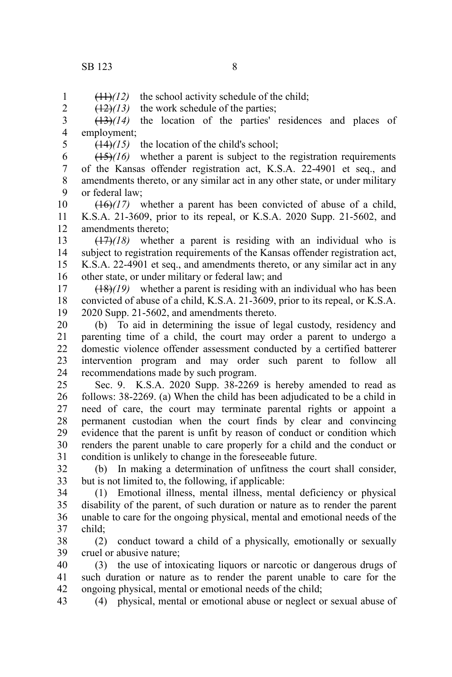$(11)$ *(12)* the school activity schedule of the child; 1

 $(12)(13)$  the work schedule of the parties; 2

(13)*(14)* the location of the parties' residences and places of employment; 3 4

5

(14)*(15)* the location of the child's school;

(15)*(16)* whether a parent is subject to the registration requirements of the Kansas offender registration act, K.S.A. 22-4901 et seq., and amendments thereto, or any similar act in any other state, or under military or federal law; 6 7 8 9

(16)*(17)* whether a parent has been convicted of abuse of a child, K.S.A. 21-3609, prior to its repeal, or K.S.A. 2020 Supp. 21-5602, and amendments thereto; 10 11 12

(17)*(18)* whether a parent is residing with an individual who is subject to registration requirements of the Kansas offender registration act, K.S.A. 22-4901 et seq., and amendments thereto, or any similar act in any other state, or under military or federal law; and 13 14 15 16

(18)*(19)* whether a parent is residing with an individual who has been convicted of abuse of a child, K.S.A. 21-3609, prior to its repeal, or K.S.A. 2020 Supp. 21-5602, and amendments thereto. 17 18 19

(b) To aid in determining the issue of legal custody, residency and parenting time of a child, the court may order a parent to undergo a domestic violence offender assessment conducted by a certified batterer intervention program and may order such parent to follow all recommendations made by such program. 20 21 22 23 24

Sec. 9. K.S.A. 2020 Supp. 38-2269 is hereby amended to read as follows: 38-2269. (a) When the child has been adjudicated to be a child in need of care, the court may terminate parental rights or appoint a permanent custodian when the court finds by clear and convincing evidence that the parent is unfit by reason of conduct or condition which renders the parent unable to care properly for a child and the conduct or condition is unlikely to change in the foreseeable future. 25 26 27 28 29 30 31

(b) In making a determination of unfitness the court shall consider, but is not limited to, the following, if applicable: 32 33

(1) Emotional illness, mental illness, mental deficiency or physical disability of the parent, of such duration or nature as to render the parent unable to care for the ongoing physical, mental and emotional needs of the child; 34 35 36 37

(2) conduct toward a child of a physically, emotionally or sexually cruel or abusive nature; 38 39

(3) the use of intoxicating liquors or narcotic or dangerous drugs of such duration or nature as to render the parent unable to care for the ongoing physical, mental or emotional needs of the child; 40 41 42

(4) physical, mental or emotional abuse or neglect or sexual abuse of 43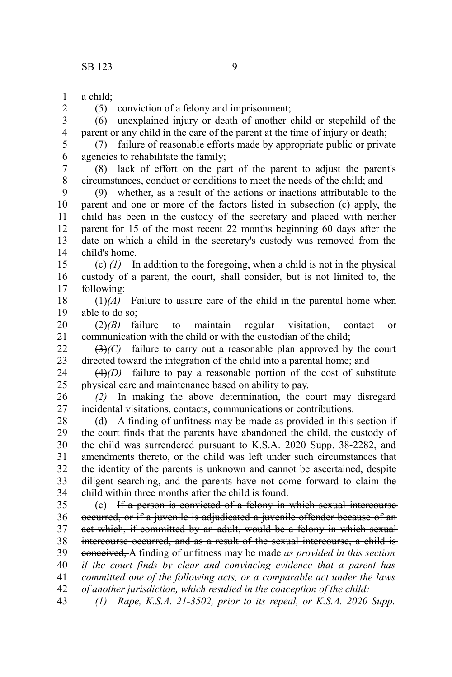a child; 1

2

(5) conviction of a felony and imprisonment;

(6) unexplained injury or death of another child or stepchild of the parent or any child in the care of the parent at the time of injury or death; 3 4

(7) failure of reasonable efforts made by appropriate public or private agencies to rehabilitate the family; 5 6

(8) lack of effort on the part of the parent to adjust the parent's circumstances, conduct or conditions to meet the needs of the child; and 7 8

(9) whether, as a result of the actions or inactions attributable to the parent and one or more of the factors listed in subsection (c) apply, the child has been in the custody of the secretary and placed with neither parent for 15 of the most recent 22 months beginning 60 days after the date on which a child in the secretary's custody was removed from the child's home. 9 10 11 12 13 14

(c) *(1)* In addition to the foregoing, when a child is not in the physical custody of a parent, the court, shall consider, but is not limited to, the following: 15 16 17

 $(1)$ <sup>(1)</sup> $(A)$  Failure to assure care of the child in the parental home when able to do so; 18 19

(2)*(B)* failure to maintain regular visitation, contact or communication with the child or with the custodian of the child; 20 21

 $(3)$ <sup>(C)</sup> failure to carry out a reasonable plan approved by the court directed toward the integration of the child into a parental home; and 22 23

 $(4)$ (D) failure to pay a reasonable portion of the cost of substitute physical care and maintenance based on ability to pay. 24 25

*(2)* In making the above determination, the court may disregard incidental visitations, contacts, communications or contributions. 26 27

(d) A finding of unfitness may be made as provided in this section if the court finds that the parents have abandoned the child, the custody of the child was surrendered pursuant to K.S.A. 2020 Supp. 38-2282, and amendments thereto, or the child was left under such circumstances that the identity of the parents is unknown and cannot be ascertained, despite diligent searching, and the parents have not come forward to claim the child within three months after the child is found. 28 29 30 31 32 33 34

(e) If a person is convicted of a felony in which sexual intercourse occurred, or if a juvenile is adjudicated a juvenile offender because of an act which, if committed by an adult, would be a felony in which sexual intercourse occurred, and as a result of the sexual intercourse, a child is conceived, A finding of unfitness may be made *as provided in this section if the court finds by clear and convincing evidence that a parent has committed one of the following acts, or a comparable act under the laws of another jurisdiction, which resulted in the conception of the child:* 35 36 37 38 39 40 41 42

*(1) Rape, K.S.A. 21-3502, prior to its repeal, or K.S.A. 2020 Supp.* 43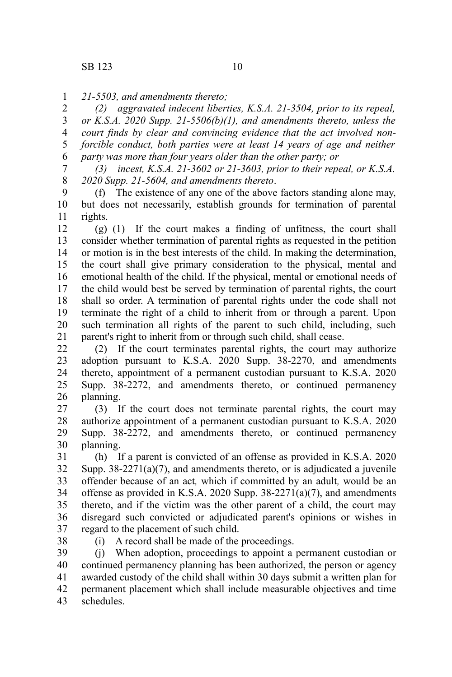*21-5503, and amendments thereto;* 1

*(2) aggravated indecent liberties, K.S.A. 21-3504, prior to its repeal, or K.S.A. 2020 Supp. 21-5506(b)(1), and amendments thereto, unless the court finds by clear and convincing evidence that the act involved nonforcible conduct, both parties were at least 14 years of age and neither party was more than four years older than the other party; or* 2 3 4 5 6

*(3) incest, K.S.A. 21-3602 or 21-3603, prior to their repeal, or K.S.A. 2020 Supp. 21-5604, and amendments thereto*. 7 8

(f) The existence of any one of the above factors standing alone may, but does not necessarily, establish grounds for termination of parental rights. 9 10 11

(g) (1) If the court makes a finding of unfitness, the court shall consider whether termination of parental rights as requested in the petition or motion is in the best interests of the child. In making the determination, the court shall give primary consideration to the physical, mental and emotional health of the child. If the physical, mental or emotional needs of the child would best be served by termination of parental rights, the court shall so order. A termination of parental rights under the code shall not terminate the right of a child to inherit from or through a parent. Upon such termination all rights of the parent to such child, including, such parent's right to inherit from or through such child, shall cease. 12 13 14 15 16 17 18 19 20 21

(2) If the court terminates parental rights, the court may authorize adoption pursuant to K.S.A. 2020 Supp. 38-2270, and amendments thereto, appointment of a permanent custodian pursuant to K.S.A. 2020 Supp. 38-2272, and amendments thereto, or continued permanency planning. 22 23 24 25 26

(3) If the court does not terminate parental rights, the court may authorize appointment of a permanent custodian pursuant to K.S.A. 2020 Supp. 38-2272, and amendments thereto, or continued permanency planning. 27 28 29 30

(h) If a parent is convicted of an offense as provided in K.S.A. 2020 Supp.  $38-2271(a)(7)$ , and amendments thereto, or is adjudicated a juvenile offender because of an act*,* which if committed by an adult*,* would be an offense as provided in K.S.A. 2020 Supp. 38-2271(a)(7), and amendments thereto, and if the victim was the other parent of a child, the court may disregard such convicted or adjudicated parent's opinions or wishes in regard to the placement of such child. 31 32 33 34 35 36 37

38

(i) A record shall be made of the proceedings.

(j) When adoption, proceedings to appoint a permanent custodian or continued permanency planning has been authorized, the person or agency awarded custody of the child shall within 30 days submit a written plan for permanent placement which shall include measurable objectives and time schedules. 39 40 41 42 43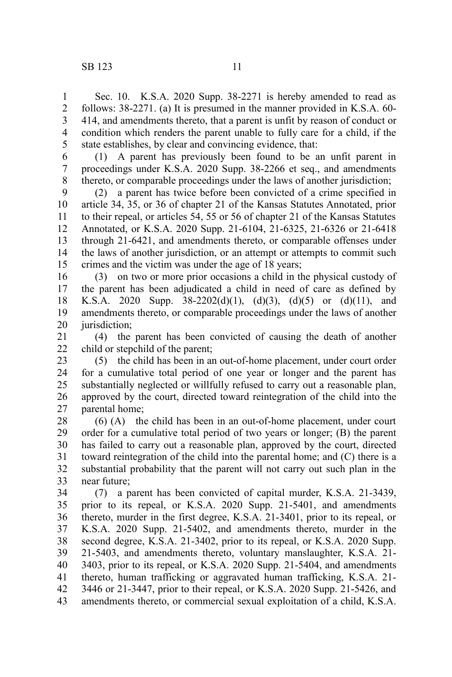Sec. 10. K.S.A. 2020 Supp. 38-2271 is hereby amended to read as follows: 38-2271. (a) It is presumed in the manner provided in K.S.A. 60- 414, and amendments thereto, that a parent is unfit by reason of conduct or condition which renders the parent unable to fully care for a child, if the state establishes, by clear and convincing evidence, that: 1 2 3 4 5

(1) A parent has previously been found to be an unfit parent in proceedings under K.S.A. 2020 Supp. 38-2266 et seq., and amendments thereto, or comparable proceedings under the laws of another jurisdiction; 6 7 8

(2) a parent has twice before been convicted of a crime specified in article 34, 35, or 36 of chapter 21 of the Kansas Statutes Annotated, prior to their repeal, or articles 54, 55 or 56 of chapter 21 of the Kansas Statutes Annotated, or K.S.A. 2020 Supp. 21-6104, 21-6325, 21-6326 or 21-6418 through 21-6421, and amendments thereto, or comparable offenses under the laws of another jurisdiction, or an attempt or attempts to commit such crimes and the victim was under the age of 18 years; 9 10 11 12 13 14 15

(3) on two or more prior occasions a child in the physical custody of the parent has been adjudicated a child in need of care as defined by K.S.A. 2020 Supp.  $38-2202(d)(1)$ ,  $(d)(3)$ ,  $(d)(5)$  or  $(d)(11)$ , and amendments thereto, or comparable proceedings under the laws of another jurisdiction: 16 17 18 19 20

(4) the parent has been convicted of causing the death of another child or stepchild of the parent; 21 22

(5) the child has been in an out-of-home placement, under court order for a cumulative total period of one year or longer and the parent has substantially neglected or willfully refused to carry out a reasonable plan, approved by the court, directed toward reintegration of the child into the parental home; 23 24 25 26 27

(6) (A) the child has been in an out-of-home placement, under court order for a cumulative total period of two years or longer; (B) the parent has failed to carry out a reasonable plan, approved by the court, directed toward reintegration of the child into the parental home; and (C) there is a substantial probability that the parent will not carry out such plan in the near future; 28 29 30 31 32 33

(7) a parent has been convicted of capital murder, K.S.A. 21-3439, prior to its repeal, or K.S.A. 2020 Supp. 21-5401, and amendments thereto, murder in the first degree, K.S.A. 21-3401, prior to its repeal, or K.S.A. 2020 Supp. 21-5402, and amendments thereto, murder in the second degree, K.S.A. 21-3402, prior to its repeal, or K.S.A. 2020 Supp. 21-5403, and amendments thereto, voluntary manslaughter, K.S.A. 21- 3403, prior to its repeal, or K.S.A. 2020 Supp. 21-5404, and amendments thereto, human trafficking or aggravated human trafficking, K.S.A. 21- 3446 or 21-3447, prior to their repeal, or K.S.A. 2020 Supp. 21-5426, and amendments thereto, or commercial sexual exploitation of a child, K.S.A. 34 35 36 37 38 39 40 41 42 43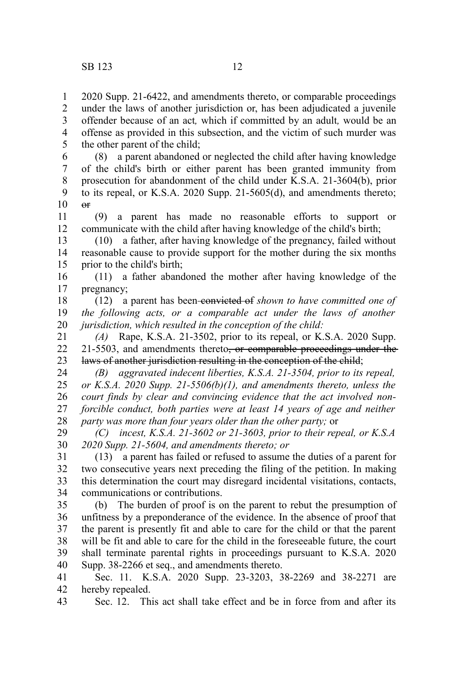1 2 2020 Supp. 21-6422, and amendments thereto, or comparable proceedings under the laws of another jurisdiction or, has been adjudicated a juvenile

offender because of an act*,* which if committed by an adult*,* would be an offense as provided in this subsection, and the victim of such murder was the other parent of the child; 3 4 5

(8) a parent abandoned or neglected the child after having knowledge of the child's birth or either parent has been granted immunity from prosecution for abandonment of the child under K.S.A. 21-3604(b), prior to its repeal, or K.S.A. 2020 Supp. 21-5605(d), and amendments thereto;  $\theta$ 6 7 8 9 10

(9) a parent has made no reasonable efforts to support or communicate with the child after having knowledge of the child's birth; 11 12

(10) a father, after having knowledge of the pregnancy, failed without reasonable cause to provide support for the mother during the six months prior to the child's birth; 13 14 15

(11) a father abandoned the mother after having knowledge of the pregnancy; 16 17

(12) a parent has been convicted of *shown to have committed one of the following acts, or a comparable act under the laws of another jurisdiction, which resulted in the conception of the child:* 18 19 20

*(A)* Rape, K.S.A. 21-3502, prior to its repeal, or K.S.A. 2020 Supp. 21-5503, and amendments thereto<del>, or comparable proceedings under the</del> laws of another jurisdiction resulting in the conception of the child; 21 22 23

*(B) aggravated indecent liberties, K.S.A. 21-3504, prior to its repeal, or K.S.A. 2020 Supp. 21-5506(b)(1), and amendments thereto, unless the court finds by clear and convincing evidence that the act involved nonforcible conduct, both parties were at least 14 years of age and neither party was more than four years older than the other party;* or 24 25 26 27 28

*(C) incest, K.S.A. 21-3602 or 21-3603, prior to their repeal, or K.S.A 2020 Supp. 21-5604, and amendments thereto; or* 29 30

(13) a parent has failed or refused to assume the duties of a parent for two consecutive years next preceding the filing of the petition. In making this determination the court may disregard incidental visitations, contacts, communications or contributions. 31 32 33 34

(b) The burden of proof is on the parent to rebut the presumption of unfitness by a preponderance of the evidence. In the absence of proof that the parent is presently fit and able to care for the child or that the parent will be fit and able to care for the child in the foreseeable future, the court shall terminate parental rights in proceedings pursuant to K.S.A. 2020 Supp. 38-2266 et seq., and amendments thereto. 35 36 37 38 39 40

Sec. 11. K.S.A. 2020 Supp. 23-3203, 38-2269 and 38-2271 are hereby repealed. 41 42

Sec. 12. This act shall take effect and be in force from and after its 43